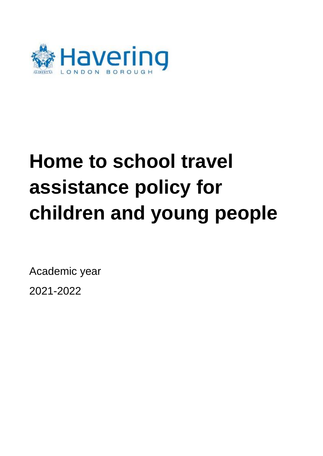

# **Home to school travel assistance policy for children and young people**

Academic year

2021-2022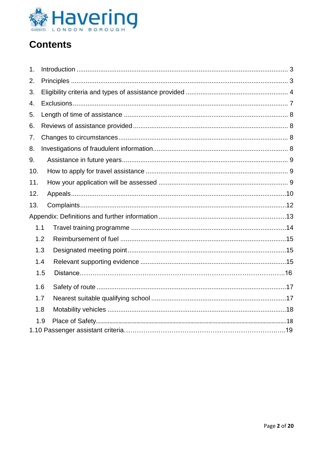

# **Contents**

| 1.  |     |  |  |
|-----|-----|--|--|
| 2.  |     |  |  |
| 3.  |     |  |  |
| 4.  |     |  |  |
| 5.  |     |  |  |
| 6.  |     |  |  |
| 7.  |     |  |  |
| 8.  |     |  |  |
| 9.  |     |  |  |
| 10. |     |  |  |
| 11. |     |  |  |
| 12. |     |  |  |
| 13. |     |  |  |
|     |     |  |  |
|     | 1.1 |  |  |
|     | 1.2 |  |  |
|     | 1.3 |  |  |
|     | 1.4 |  |  |
|     | 1.5 |  |  |
|     | 1.6 |  |  |
|     | 1.7 |  |  |
|     | 1.8 |  |  |
|     | 1.9 |  |  |
|     |     |  |  |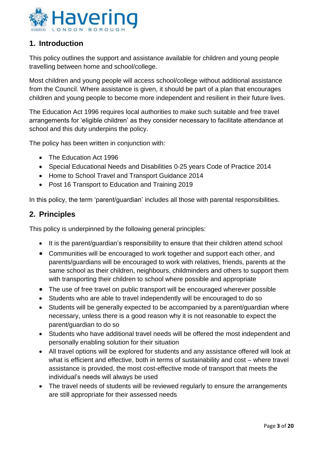

# <span id="page-2-0"></span>**1. Introduction**

This policy outlines the support and assistance available for children and young people travelling between home and school/college.

Most children and young people will access school/college without additional assistance from the Council. Where assistance is given, it should be part of a plan that encourages children and young people to become more independent and resilient in their future lives.

The Education Act 1996 requires local authorities to make such suitable and free travel arrangements for 'eligible children' as they consider necessary to facilitate attendance at school and this duty underpins the policy.

The policy has been written in conjunction with:

- The Education Act 1996
- Special Educational Needs and Disabilities 0-25 years Code of Practice 2014
- Home to School Travel and Transport Guidance 2014
- Post 16 Transport to Education and Training 2019

In this policy, the term 'parent/guardian' includes all those with parental responsibilities.

# <span id="page-2-1"></span>**2. Principles**

This policy is underpinned by the following general principles:

- It is the parent/guardian's responsibility to ensure that their children attend school
- Communities will be encouraged to work together and support each other, and parents/guardians will be encouraged to work with relatives, friends, parents at the same school as their children, neighbours, childminders and others to support them with transporting their children to school where possible and appropriate
- The use of free travel on public transport will be encouraged wherever possible
- Students who are able to travel independently will be encouraged to do so
- Students will be generally expected to be accompanied by a parent/guardian where necessary, unless there is a good reason why it is not reasonable to expect the parent/guardian to do so
- Students who have additional travel needs will be offered the most independent and personally enabling solution for their situation
- All travel options will be explored for students and any assistance offered will look at what is efficient and effective, both in terms of sustainability and cost – where travel assistance is provided, the most cost-effective mode of transport that meets the individual's needs will always be used
- The travel needs of students will be reviewed regularly to ensure the arrangements are still appropriate for their assessed needs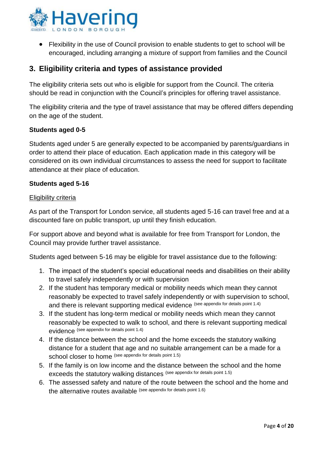

 Flexibility in the use of Council provision to enable students to get to school will be encouraged, including arranging a mixture of support from families and the Council

# <span id="page-3-0"></span>**3. Eligibility criteria and types of assistance provided**

The eligibility criteria sets out who is eligible for support from the Council. The criteria should be read in conjunction with the Council's principles for offering travel assistance.

The eligibility criteria and the type of travel assistance that may be offered differs depending on the age of the student.

#### **Students aged 0-5**

Students aged under 5 are generally expected to be accompanied by parents/guardians in order to attend their place of education. Each application made in this category will be considered on its own individual circumstances to assess the need for support to facilitate attendance at their place of education.

#### **Students aged 5-16**

#### Eligibility criteria

As part of the Transport for London service, all students aged 5-16 can travel free and at a discounted fare on public transport, up until they finish education.

For support above and beyond what is available for free from Transport for London, the Council may provide further travel assistance.

Students aged between 5-16 may be eligible for travel assistance due to the following:

- 1. The impact of the student's special educational needs and disabilities on their ability to travel safely independently or with supervision
- 2. If the student has temporary medical or mobility needs which mean they cannot reasonably be expected to travel safely independently or with supervision to school, and there is relevant supporting medical evidence (see appendix for details point 1.4)
- 3. If the student has long-term medical or mobility needs which mean they cannot reasonably be expected to walk to school, and there is relevant supporting medical evidence (see appendix for details point 1.4)
- 4. If the distance between the school and the home exceeds the statutory walking distance for a student that age and no suitable arrangement can be a made for a school closer to home (see appendix for details point 1.5)
- 5. If the family is on low income and the distance between the school and the home exceeds the statutory walking distances (see appendix for details point 1.5)
- 6. The assessed safety and nature of the route between the school and the home and the alternative routes available (see appendix for details point 1.6)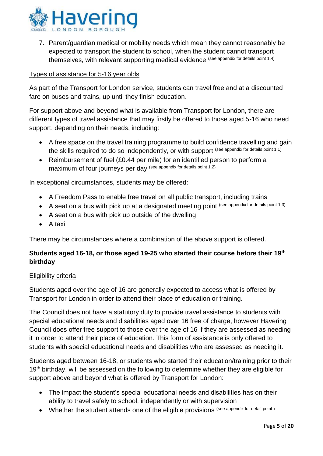

7. Parent/guardian medical or mobility needs which mean they cannot reasonably be expected to transport the student to school, when the student cannot transport themselves, with relevant supporting medical evidence (see appendix for details point 1.4)

#### Types of assistance for 5-16 year olds

As part of the Transport for London service, students can travel free and at a discounted fare on buses and trains, up until they finish education.

For support above and beyond what is available from Transport for London, there are different types of travel assistance that may firstly be offered to those aged 5-16 who need support, depending on their needs, including:

- A free space on the travel training programme to build confidence travelling and gain the skills required to do so independently, or with support (see appendix for details point 1.1)
- Reimbursement of fuel (£0.44 per mile) for an identified person to perform a maximum of four journeys per day (see appendix for details point 1.2)

In exceptional circumstances, students may be offered:

- A Freedom Pass to enable free travel on all public transport, including trains
- A seat on a bus with pick up at a designated meeting point (see appendix for details point 1.3)
- A seat on a bus with pick up outside of the dwelling
- $\bullet$  A taxi

There may be circumstances where a combination of the above support is offered.

#### **Students aged 16-18, or those aged 19-25 who started their course before their 19th birthday**

#### Eligibility criteria

Students aged over the age of 16 are generally expected to access what is offered by Transport for London in order to attend their place of education or training.

The Council does not have a statutory duty to provide travel assistance to students with special educational needs and disabilities aged over 16 free of charge, however Havering Council does offer free support to those over the age of 16 if they are assessed as needing it in order to attend their place of education. This form of assistance is only offered to students with special educational needs and disabilities who are assessed as needing it.

Students aged between 16-18, or students who started their education/training prior to their 19<sup>th</sup> birthday, will be assessed on the following to determine whether they are eligible for support above and beyond what is offered by Transport for London:

- The impact the student's special educational needs and disabilities has on their ability to travel safely to school, independently or with supervision
- Whether the student attends one of the eligible provisions (see appendix for detail point)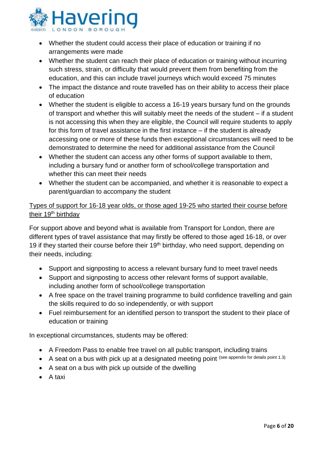

- Whether the student could access their place of education or training if no arrangements were made
- Whether the student can reach their place of education or training without incurring such stress, strain, or difficulty that would prevent them from benefiting from the education, and this can include travel journeys which would exceed 75 minutes
- The impact the distance and route travelled has on their ability to access their place of education
- Whether the student is eligible to access a 16-19 years bursary fund on the grounds of transport and whether this will suitably meet the needs of the student – if a student is not accessing this when they are eligible, the Council will require students to apply for this form of travel assistance in the first instance – if the student is already accessing one or more of these funds then exceptional circumstances will need to be demonstrated to determine the need for additional assistance from the Council
- Whether the student can access any other forms of support available to them, including a bursary fund or another form of school/college transportation and whether this can meet their needs
- Whether the student can be accompanied, and whether it is reasonable to expect a parent/guardian to accompany the student

#### Types of support for 16-18 year olds, or those aged 19-25 who started their course before their 19<sup>th</sup> birthday

For support above and beyond what is available from Transport for London, there are different types of travel assistance that may firstly be offered to those aged 16-18, or over 19 if they started their course before their 19<sup>th</sup> birthday, who need support, depending on their needs, including:

- Support and signposting to access a relevant bursary fund to meet travel needs
- Support and signposting to access other relevant forms of support available, including another form of school/college transportation
- A free space on the travel training programme to build confidence travelling and gain the skills required to do so independently, or with support
- Fuel reimbursement for an identified person to transport the student to their place of education or training

In exceptional circumstances, students may be offered:

- A Freedom Pass to enable free travel on all public transport, including trains
- A seat on a bus with pick up at a designated meeting point (see appendix for details point 1.3)
- A seat on a bus with pick up outside of the dwelling
- $\bullet$  A taxi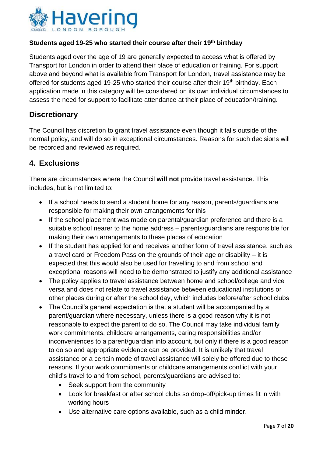

#### **Students aged 19-25 who started their course after their 19th birthday**

Students aged over the age of 19 are generally expected to access what is offered by Transport for London in order to attend their place of education or training. For support above and beyond what is available from Transport for London, travel assistance may be offered for students aged 19-25 who started their course after their 19<sup>th</sup> birthday. Each application made in this category will be considered on its own individual circumstances to assess the need for support to facilitate attendance at their place of education/training.

### **Discretionary**

The Council has discretion to grant travel assistance even though it falls outside of the normal policy, and will do so in exceptional circumstances. Reasons for such decisions will be recorded and reviewed as required.

# <span id="page-6-0"></span>**4. Exclusions**

There are circumstances where the Council **will not** provide travel assistance. This includes, but is not limited to:

- If a school needs to send a student home for any reason, parents/quardians are responsible for making their own arrangements for this
- If the school placement was made on parental/guardian preference and there is a suitable school nearer to the home address – parents/guardians are responsible for making their own arrangements to these places of education
- If the student has applied for and receives another form of travel assistance, such as a travel card or Freedom Pass on the grounds of their age or disability – it is expected that this would also be used for travelling to and from school and exceptional reasons will need to be demonstrated to justify any additional assistance
- The policy applies to travel assistance between home and school/college and vice versa and does not relate to travel assistance between educational institutions or other places during or after the school day, which includes before/after school clubs
- The Council's general expectation is that a student will be accompanied by a parent/guardian where necessary, unless there is a good reason why it is not reasonable to expect the parent to do so. The Council may take individual family work commitments, childcare arrangements, caring responsibilities and/or inconveniences to a parent/guardian into account, but only if there is a good reason to do so and appropriate evidence can be provided. It is unlikely that travel assistance or a certain mode of travel assistance will solely be offered due to these reasons. If your work commitments or childcare arrangements conflict with your child's travel to and from school, parents/guardians are advised to:
	- Seek support from the community
	- Look for breakfast or after school clubs so drop-off/pick-up times fit in with working hours
	- Use alternative care options available, such as a child minder.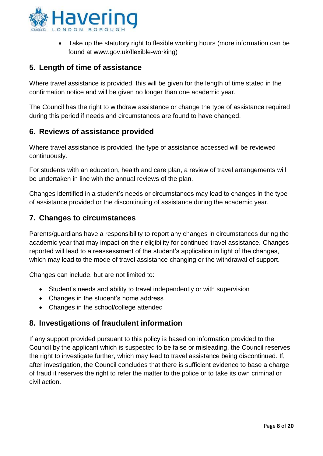

• Take up the statutory right to flexible working hours (more information can be found at [www.gov.uk/flexible-working\)](http://www.gov.uk/flexible-working)

# <span id="page-7-0"></span>**5. Length of time of assistance**

Where travel assistance is provided, this will be given for the length of time stated in the confirmation notice and will be given no longer than one academic year.

The Council has the right to withdraw assistance or change the type of assistance required during this period if needs and circumstances are found to have changed.

# <span id="page-7-1"></span>**6. Reviews of assistance provided**

Where travel assistance is provided, the type of assistance accessed will be reviewed continuously.

For students with an education, health and care plan, a review of travel arrangements will be undertaken in line with the annual reviews of the plan.

Changes identified in a student's needs or circumstances may lead to changes in the type of assistance provided or the discontinuing of assistance during the academic year.

# <span id="page-7-2"></span>**7. Changes to circumstances**

Parents/guardians have a responsibility to report any changes in circumstances during the academic year that may impact on their eligibility for continued travel assistance. Changes reported will lead to a reassessment of the student's application in light of the changes, which may lead to the mode of travel assistance changing or the withdrawal of support.

Changes can include, but are not limited to:

- Student's needs and ability to travel independently or with supervision
- Changes in the student's home address
- Changes in the school/college attended

# <span id="page-7-3"></span>**8. Investigations of fraudulent information**

If any support provided pursuant to this policy is based on information provided to the Council by the applicant which is suspected to be false or misleading, the Council reserves the right to investigate further, which may lead to travel assistance being discontinued. If, after investigation, the Council concludes that there is sufficient evidence to base a charge of fraud it reserves the right to refer the matter to the police or to take its own criminal or civil action.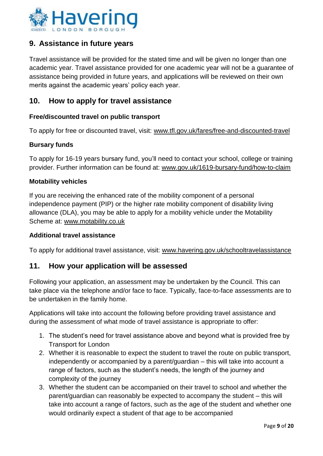

# <span id="page-8-0"></span>**9. Assistance in future years**

Travel assistance will be provided for the stated time and will be given no longer than one academic year. Travel assistance provided for one academic year will not be a guarantee of assistance being provided in future years, and applications will be reviewed on their own merits against the academic years' policy each year.

# <span id="page-8-1"></span>**10. How to apply for travel assistance**

#### **Free/discounted travel on public transport**

To apply for free or discounted travel, visit: [www.tfl.gov.uk/fares/free-and-discounted-travel](http://www.tfl.gov.uk/fares/free-and-discounted-travel)

#### **Bursary funds**

To apply for 16-19 years bursary fund, you'll need to contact your school, college or training provider. Further information can be found at: [www.gov.uk/1619-bursary-fund/how-to-claim](http://www.gov.uk/1619-bursary-fund/how-to-claim)

#### **Motability vehicles**

If you are receiving the enhanced rate of the mobility component of a personal independence payment (PIP) or the higher rate mobility component of disability living allowance (DLA), you may be able to apply for a mobility vehicle under the Motability Scheme at: [www.motability.co.uk](http://www.motability.co.uk/)

#### **Additional travel assistance**

To apply for additional travel assistance, visit: [www.havering.gov.uk/schooltravelassistance](http://www.havering.gov.uk/schooltravelassistance)

#### <span id="page-8-2"></span>**11. How your application will be assessed**

Following your application, an assessment may be undertaken by the Council. This can take place via the telephone and/or face to face. Typically, face-to-face assessments are to be undertaken in the family home.

Applications will take into account the following before providing travel assistance and during the assessment of what mode of travel assistance is appropriate to offer:

- 1. The student's need for travel assistance above and beyond what is provided free by Transport for London
- 2. Whether it is reasonable to expect the student to travel the route on public transport, independently or accompanied by a parent/guardian – this will take into account a range of factors, such as the student's needs, the length of the journey and complexity of the journey
- 3. Whether the student can be accompanied on their travel to school and whether the parent/guardian can reasonably be expected to accompany the student – this will take into account a range of factors, such as the age of the student and whether one would ordinarily expect a student of that age to be accompanied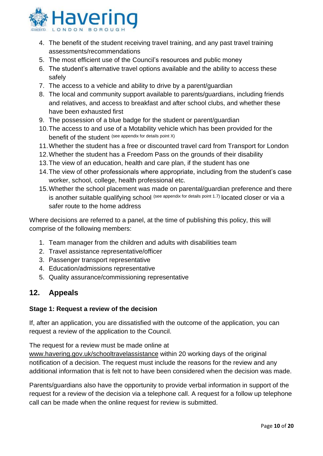

- 4. The benefit of the student receiving travel training, and any past travel training assessments/recommendations
- 5. The most efficient use of the Council's resources and public money
- 6. The student's alternative travel options available and the ability to access these safely
- 7. The access to a vehicle and ability to drive by a parent/guardian
- 8. The local and community support available to parents/guardians, including friends and relatives, and access to breakfast and after school clubs, and whether these have been exhausted first
- 9. The possession of a blue badge for the student or parent/guardian
- 10.The access to and use of a Motability vehicle which has been provided for the benefit of the student (see appendix for details point X)
- 11.Whether the student has a free or discounted travel card from Transport for London
- 12.Whether the student has a Freedom Pass on the grounds of their disability
- 13.The view of an education, health and care plan, if the student has one
- 14.The view of other professionals where appropriate, including from the student's case worker, school, college, health professional etc.
- 15.Whether the school placement was made on parental/guardian preference and there is another suitable qualifying school (see appendix for details point 1.7) located closer or via a safer route to the home address

Where decisions are referred to a panel, at the time of publishing this policy, this will comprise of the following members:

- 1. Team manager from the children and adults with disabilities team
- 2. Travel assistance representative/officer
- 3. Passenger transport representative
- 4. Education/admissions representative
- 5. Quality assurance/commissioning representative

#### <span id="page-9-0"></span>**12. Appeals**

#### **Stage 1: Request a review of the decision**

If, after an application, you are dissatisfied with the outcome of the application, you can request a review of the application to the Council.

The request for a review must be made online at

[www.havering.gov.uk/schooltravelassistance](http://www.havering.gov.uk/schooltravelassistance) within 20 working days of the original notification of a decision. The request must include the reasons for the review and any additional information that is felt not to have been considered when the decision was made.

Parents/guardians also have the opportunity to provide verbal information in support of the request for a review of the decision via a telephone call. A request for a follow up telephone call can be made when the online request for review is submitted.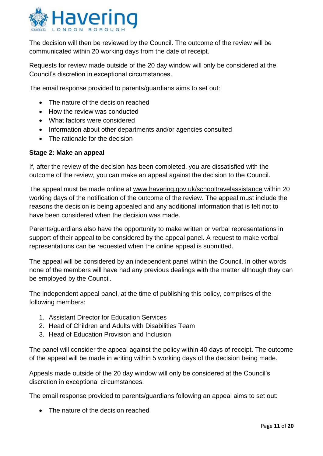

The decision will then be reviewed by the Council. The outcome of the review will be communicated within 20 working days from the date of receipt.

Requests for review made outside of the 20 day window will only be considered at the Council's discretion in exceptional circumstances.

The email response provided to parents/guardians aims to set out:

- The nature of the decision reached
- How the review was conducted
- What factors were considered
- Information about other departments and/or agencies consulted
- The rationale for the decision

#### **Stage 2: Make an appeal**

If, after the review of the decision has been completed, you are dissatisfied with the outcome of the review, you can make an appeal against the decision to the Council.

The appeal must be made online at [www.havering.gov.uk/schooltravelassistance](http://www.havering.gov.uk/schooltravelassistance) within 20 working days of the notification of the outcome of the review. The appeal must include the reasons the decision is being appealed and any additional information that is felt not to have been considered when the decision was made.

Parents/guardians also have the opportunity to make written or verbal representations in support of their appeal to be considered by the appeal panel. A request to make verbal representations can be requested when the online appeal is submitted.

The appeal will be considered by an independent panel within the Council. In other words none of the members will have had any previous dealings with the matter although they can be employed by the Council.

The independent appeal panel, at the time of publishing this policy, comprises of the following members:

- 1. Assistant Director for Education Services
- 2. Head of Children and Adults with Disabilities Team
- 3. Head of Education Provision and Inclusion

The panel will consider the appeal against the policy within 40 days of receipt. The outcome of the appeal will be made in writing within 5 working days of the decision being made.

Appeals made outside of the 20 day window will only be considered at the Council's discretion in exceptional circumstances.

The email response provided to parents/guardians following an appeal aims to set out:

• The nature of the decision reached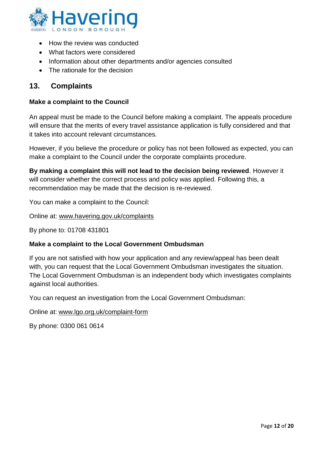

- How the review was conducted
- What factors were considered
- Information about other departments and/or agencies consulted
- <span id="page-11-0"></span>• The rationale for the decision

# **13. Complaints**

#### **Make a complaint to the Council**

An appeal must be made to the Council before making a complaint. The appeals procedure will ensure that the merits of every travel assistance application is fully considered and that it takes into account relevant circumstances.

However, if you believe the procedure or policy has not been followed as expected, you can make a complaint to the Council under the corporate complaints procedure.

**By making a complaint this will not lead to the decision being reviewed**. However it will consider whether the correct process and policy was applied. Following this, a recommendation may be made that the decision is re-reviewed.

You can make a complaint to the Council:

Online at: [www.havering.gov.uk/complaints](http://www.havering.gov.uk/complaints)

By phone to: 01708 431801

#### **Make a complaint to the Local Government Ombudsman**

If you are not satisfied with how your application and any review/appeal has been dealt with, you can request that the Local Government Ombudsman investigates the situation. The Local Government Ombudsman is an independent body which investigates complaints against local authorities.

You can request an investigation from the Local Government Ombudsman:

Online at: [www.lgo.org.uk/complaint-form](http://www.lgo.org.uk/complaint-form)

By phone: 0300 061 0614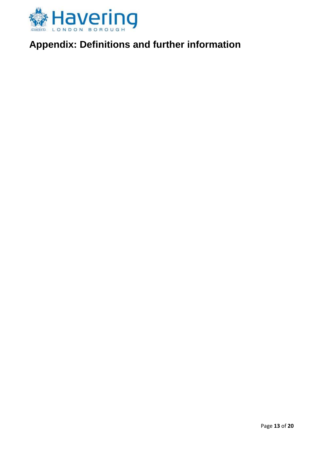

# <span id="page-12-0"></span>**Appendix: Definitions and further information**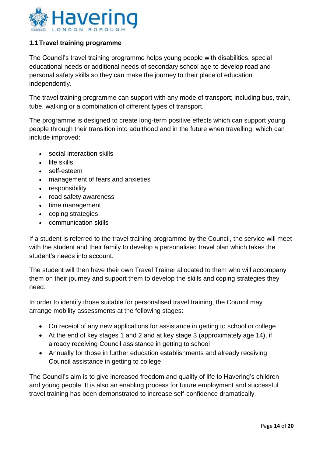

#### <span id="page-13-0"></span>**1.1Travel training programme**

The Council's travel training programme helps young people with disabilities, special educational needs or additional needs of secondary school age to develop road and personal safety skills so they can make the journey to their place of education independently.

The travel training programme can support with any mode of transport; including bus, train, tube, walking or a combination of different types of transport.

The programme is designed to create long-term positive effects which can support young people through their transition into adulthood and in the future when travelling, which can include improved:

- social interaction skills
- $\cdot$  life skills
- self-esteem
- management of fears and anxieties
- responsibility
- road safety awareness
- time management
- coping strategies
- communication skills

If a student is referred to the travel training programme by the Council, the service will meet with the student and their family to develop a personalised travel plan which takes the student's needs into account.

The student will then have their own Travel Trainer allocated to them who will accompany them on their journey and support them to develop the skills and coping strategies they need.

In order to identify those suitable for personalised travel training, the Council may arrange mobility assessments at the following stages:

- On receipt of any new applications for assistance in getting to school or college
- At the end of key stages 1 and 2 and at key stage 3 (approximately age 14), if already receiving Council assistance in getting to school
- Annually for those in further education establishments and already receiving Council assistance in getting to college

The Council's aim is to give increased freedom and quality of life to Havering's children and young people. It is also an enabling process for future employment and successful travel training has been demonstrated to increase self-confidence dramatically.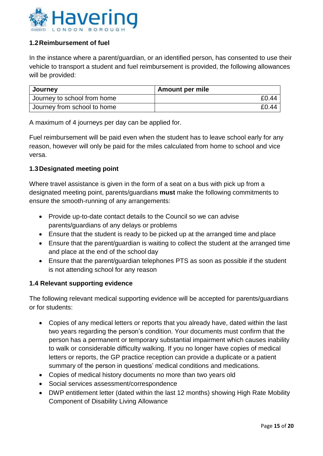

#### <span id="page-14-0"></span>**1.2Reimbursement of fuel**

In the instance where a parent/guardian, or an identified person, has consented to use their vehicle to transport a student and fuel reimbursement is provided, the following allowances will be provided:

| Journey                     | <b>Amount per mile</b> |
|-----------------------------|------------------------|
| Journey to school from home | £0.44                  |
| Journey from school to home | £0.44                  |

A maximum of 4 journeys per day can be applied for.

Fuel reimbursement will be paid even when the student has to leave school early for any reason, however will only be paid for the miles calculated from home to school and vice versa.

#### <span id="page-14-1"></span>**1.3Designated meeting point**

Where travel assistance is given in the form of a seat on a bus with pick up from a designated meeting point, parents/guardians **must** make the following commitments to ensure the smooth-running of any arrangements:

- Provide up-to-date contact details to the Council so we can advise parents/guardians of any delays or problems
- Ensure that the student is ready to be picked up at the arranged time and place
- Ensure that the parent/guardian is waiting to collect the student at the arranged time and place at the end of the school day
- Ensure that the parent/guardian telephones PTS as soon as possible if the student is not attending school for any reason

#### <span id="page-14-2"></span>**1.4 Relevant supporting evidence**

The following relevant medical supporting evidence will be accepted for parents/guardians or for students:

- Copies of any medical letters or reports that you already have, dated within the last two years regarding the person's condition. Your documents must confirm that the person has a permanent or temporary substantial impairment which causes inability to walk or considerable difficulty walking. If you no longer have copies of medical letters or reports, the GP practice reception can provide a duplicate or a patient summary of the person in questions' medical conditions and medications.
- Copies of medical history documents no more than two years old
- Social services assessment/correspondence
- DWP entitlement letter (dated within the last 12 months) showing High Rate Mobility Component of Disability Living Allowance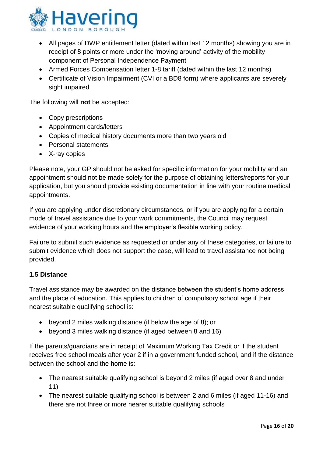

- All pages of DWP entitlement letter (dated within last 12 months) showing you are in receipt of 8 points or more under the 'moving around' activity of the mobility component of Personal Independence Payment
- Armed Forces Compensation letter 1-8 tariff (dated within the last 12 months)
- Certificate of Vision Impairment (CVI or a BD8 form) where applicants are severely sight impaired

The following will **not** be accepted:

- Copy prescriptions
- Appointment cards/letters
- Copies of medical history documents more than two years old
- Personal statements
- X-ray copies

Please note, your GP should not be asked for specific information for your mobility and an appointment should not be made solely for the purpose of obtaining letters/reports for your application, but you should provide existing documentation in line with your routine medical appointments.

If you are applying under discretionary circumstances, or if you are applying for a certain mode of travel assistance due to your work commitments, the Council may request evidence of your working hours and the employer's flexible working policy.

Failure to submit such evidence as requested or under any of these categories, or failure to submit evidence which does not support the case, will lead to travel assistance not being provided.

#### **1.5 Distance**

Travel assistance may be awarded on the distance between the student's home address and the place of education. This applies to children of compulsory school age if their nearest suitable qualifying school is:

- beyond 2 miles walking distance (if below the age of 8); or
- beyond 3 miles walking distance (if aged between 8 and 16)

If the parents/guardians are in receipt of Maximum Working Tax Credit or if the student receives free school meals after year 2 if in a government funded school, and if the distance between the school and the home is:

- The nearest suitable qualifying school is beyond 2 miles (if aged over 8 and under 11)
- The nearest suitable qualifying school is between 2 and 6 miles (if aged 11-16) and there are not three or more nearer suitable qualifying schools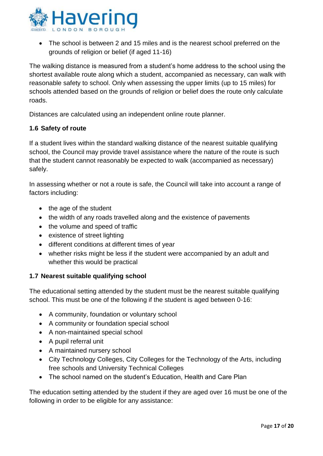

 The school is between 2 and 15 miles and is the nearest school preferred on the grounds of religion or belief (if aged 11-16)

The walking distance is measured from a student's home address to the school using the shortest available route along which a student, accompanied as necessary, can walk with reasonable safety to school. Only when assessing the upper limits (up to 15 miles) for schools attended based on the grounds of religion or belief does the route only calculate roads.

Distances are calculated using an independent online route planner.

#### <span id="page-16-0"></span>**1.6 Safety of route**

If a student lives within the standard walking distance of the nearest suitable qualifying school, the Council may provide travel assistance where the nature of the route is such that the student cannot reasonably be expected to walk (accompanied as necessary) safely.

In assessing whether or not a route is safe, the Council will take into account a range of factors including:

- the age of the student
- the width of any roads travelled along and the existence of pavements
- the volume and speed of traffic
- existence of street lighting
- different conditions at different times of year
- whether risks might be less if the student were accompanied by an adult and whether this would be practical

#### <span id="page-16-1"></span>**1.7 Nearest suitable qualifying school**

The educational setting attended by the student must be the nearest suitable qualifying school. This must be one of the following if the student is aged between 0-16:

- A community, foundation or voluntary school
- A community or foundation special school
- A non-maintained special school
- A pupil referral unit
- A maintained nursery school
- City Technology Colleges, City Colleges for the Technology of the Arts, including free schools and University Technical Colleges
- The school named on the student's Education, Health and Care Plan

The education setting attended by the student if they are aged over 16 must be one of the following in order to be eligible for any assistance: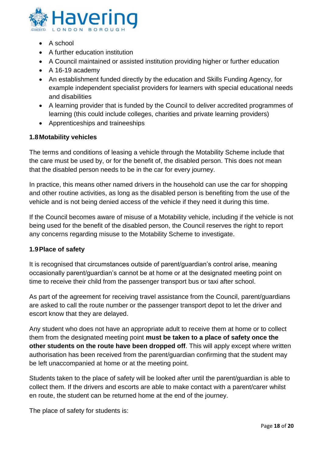

- $\bullet$  A school
- A further education institution
- A Council maintained or assisted institution providing higher or further education
- $\bullet$  A 16-19 academy
- An establishment funded directly by the education and Skills Funding Agency, for example independent specialist providers for learners with special educational needs and disabilities
- A learning provider that is funded by the Council to deliver accredited programmes of learning (this could include colleges, charities and private learning providers)
- Apprenticeships and traineeships

#### <span id="page-17-0"></span>**1.8Motability vehicles**

The terms and conditions of leasing a vehicle through the Motability Scheme include that the care must be used by, or for the benefit of, the disabled person. This does not mean that the disabled person needs to be in the car for every journey.

In practice, this means other named drivers in the household can use the car for shopping and other routine activities, as long as the disabled person is benefiting from the use of the vehicle and is not being denied access of the vehicle if they need it during this time.

If the Council becomes aware of misuse of a Motability vehicle, including if the vehicle is not being used for the benefit of the disabled person, the Council reserves the right to report any concerns regarding misuse to the Motability Scheme to investigate.

#### **1.9Place of safety**

It is recognised that circumstances outside of parent/guardian's control arise, meaning occasionally parent/guardian's cannot be at home or at the designated meeting point on time to receive their child from the passenger transport bus or taxi after school.

As part of the agreement for receiving travel assistance from the Council, parent/guardians are asked to call the route number or the passenger transport depot to let the driver and escort know that they are delayed.

Any student who does not have an appropriate adult to receive them at home or to collect them from the designated meeting point **must be taken to a place of safety once the other students on the route have been dropped off**. This will apply except where written authorisation has been received from the parent/guardian confirming that the student may be left unaccompanied at home or at the meeting point.

Students taken to the place of safety will be looked after until the parent/guardian is able to collect them. If the drivers and escorts are able to make contact with a parent/carer whilst en route, the student can be returned home at the end of the journey.

The place of safety for students is: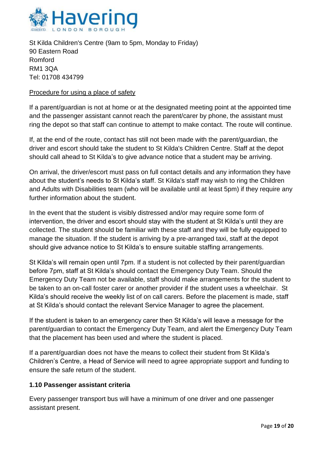

St Kilda Children's Centre (9am to 5pm, Monday to Friday) 90 Eastern Road Romford RM1 3QA Tel: 01708 434799

#### Procedure for using a place of safety

If a parent/guardian is not at home or at the designated meeting point at the appointed time and the passenger assistant cannot reach the parent/carer by phone, the assistant must ring the depot so that staff can continue to attempt to make contact. The route will continue.

If, at the end of the route, contact has still not been made with the parent/guardian, the driver and escort should take the student to St Kilda's Children Centre. Staff at the depot should call ahead to St Kilda's to give advance notice that a student may be arriving.

On arrival, the driver/escort must pass on full contact details and any information they have about the student's needs to St Kilda's staff. St Kilda's staff may wish to ring the Children and Adults with Disabilities team (who will be available until at least 5pm) if they require any further information about the student.

In the event that the student is visibly distressed and/or may require some form of intervention, the driver and escort should stay with the student at St Kilda's until they are collected. The student should be familiar with these staff and they will be fully equipped to manage the situation. If the student is arriving by a pre-arranged taxi, staff at the depot should give advance notice to St Kilda's to ensure suitable staffing arrangements.

St Kilda's will remain open until 7pm. If a student is not collected by their parent/guardian before 7pm, staff at St Kilda's should contact the Emergency Duty Team. Should the Emergency Duty Team not be available, staff should make arrangements for the student to be taken to an on-call foster carer or another provider if the student uses a wheelchair. St Kilda's should receive the weekly list of on call carers. Before the placement is made, staff at St Kilda's should contact the relevant Service Manager to agree the placement.

If the student is taken to an emergency carer then St Kilda's will leave a message for the parent/guardian to contact the Emergency Duty Team, and alert the Emergency Duty Team that the placement has been used and where the student is placed.

If a parent/guardian does not have the means to collect their student from St Kilda's Children's Centre, a Head of Service will need to agree appropriate support and funding to ensure the safe return of the student.

#### **1.10 Passenger assistant criteria**

Every passenger transport bus will have a minimum of one driver and one passenger assistant present.